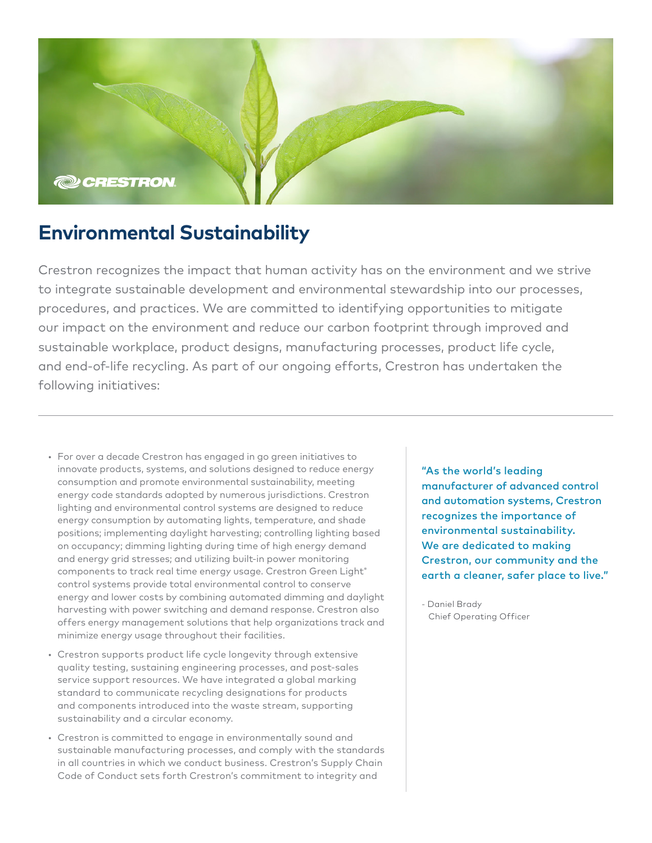

## **Environmental Sustainability**

Crestron recognizes the impact that human activity has on the environment and we strive to integrate sustainable development and environmental stewardship into our processes, procedures, and practices. We are committed to identifying opportunities to mitigate our impact on the environment and reduce our carbon footprint through improved and sustainable workplace, product designs, manufacturing processes, product life cycle, and end-of-life recycling. As part of our ongoing efforts, Crestron has undertaken the following initiatives:

- For over a decade Crestron has engaged in go green initiatives to innovate products, systems, and solutions designed to reduce energy consumption and promote environmental sustainability, meeting energy code standards adopted by numerous jurisdictions. Crestron lighting and environmental control systems are designed to reduce energy consumption by automating lights, temperature, and shade positions; implementing daylight harvesting; controlling lighting based on occupancy; dimming lighting during time of high energy demand and energy grid stresses; and utilizing built-in power monitoring components to track real time energy usage. Crestron Green Light® control systems provide total environmental control to conserve energy and lower costs by combining automated dimming and daylight harvesting with power switching and demand response. Crestron also offers energy management solutions that help organizations track and minimize energy usage throughout their facilities.
- Crestron supports product life cycle longevity through extensive quality testing, sustaining engineering processes, and post-sales service support resources. We have integrated a global marking standard to communicate recycling designations for products and components introduced into the waste stream, supporting sustainability and a circular economy.
- Crestron is committed to engage in environmentally sound and sustainable manufacturing processes, and comply with the standards in all countries in which we conduct business. Crestron's Supply Chain Code of Conduct sets forth Crestron's commitment to integrity and

"As the world's leading manufacturer of advanced control and automation systems, Crestron recognizes the importance of environmental sustainability. We are dedicated to making Crestron, our community and the earth a cleaner, safer place to live."

- Daniel Brady Chief Operating Officer